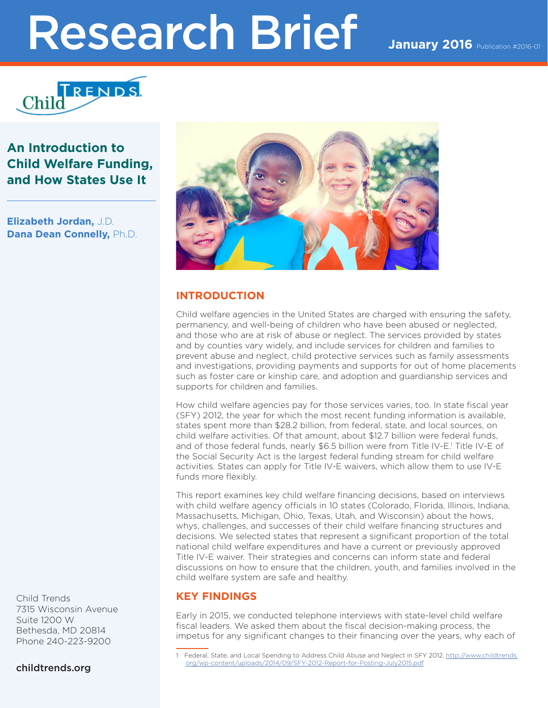# Research Brief January 2016 Publication #2016-01



## **An Introduction to Child Welfare Funding, and How States Use It**

**Elizabeth Jordan,** J.D. **Dana Dean Connelly,** Ph.D.



## **INTRODUCTION**

Child welfare agencies in the United States are charged with ensuring the safety, permanency, and well-being of children who have been abused or neglected, and those who are at risk of abuse or neglect. The services provided by states and by counties vary widely, and include services for children and families to prevent abuse and neglect, child protective services such as family assessments and investigations, providing payments and supports for out of home placements such as foster care or kinship care, and adoption and guardianship services and supports for children and families.

How child welfare agencies pay for those services varies, too. In state fiscal year (SFY) 2012, the year for which the most recent funding information is available, states spent more than \$28.2 billion, from federal, state, and local sources, on child welfare activities. Of that amount, about \$12.7 billion were federal funds, and of those federal funds, nearly \$6.5 billion were from Title IV-E.<sup>1</sup> Title IV-E of the Social Security Act is the largest federal funding stream for child welfare activities. States can apply for Title IV-E waivers, which allow them to use IV-E funds more flexibly.

This report examines key child welfare financing decisions, based on interviews with child welfare agency officials in 10 states (Colorado, Florida, Illinois, Indiana, Massachusetts, Michigan, Ohio, Texas, Utah, and Wisconsin) about the hows, whys, challenges, and successes of their child welfare financing structures and decisions. We selected states that represent a significant proportion of the total national child welfare expenditures and have a current or previously approved Title IV-E waiver. Their strategies and concerns can inform state and federal discussions on how to ensure that the children, youth, and families involved in the child welfare system are safe and healthy.

## **KEY FINDINGS**

Early in 2015, we conducted telephone interviews with state-level child welfare fiscal leaders. We asked them about the fiscal decision-making process, the impetus for any significant changes to their financing over the years, why each of

Child Trends 7315 Wisconsin Avenue Suite 1200 W Bethesda, MD 20814 Phone 240-223-9200

childtrends.org

<sup>1</sup> Federal, State, and Local Spending to Address Child Abuse and Neglect in SFY 2012. [http://www.childtrends.](http://www.childtrends.org/wp-content/uploads/2014/09/SFY-2012-Report-for-Posting-July2015.pdf) [org/wp-content/uploads/2014/09/SFY-2012-Report-for-Posting-July2015.pdf](http://www.childtrends.org/wp-content/uploads/2014/09/SFY-2012-Report-for-Posting-July2015.pdf)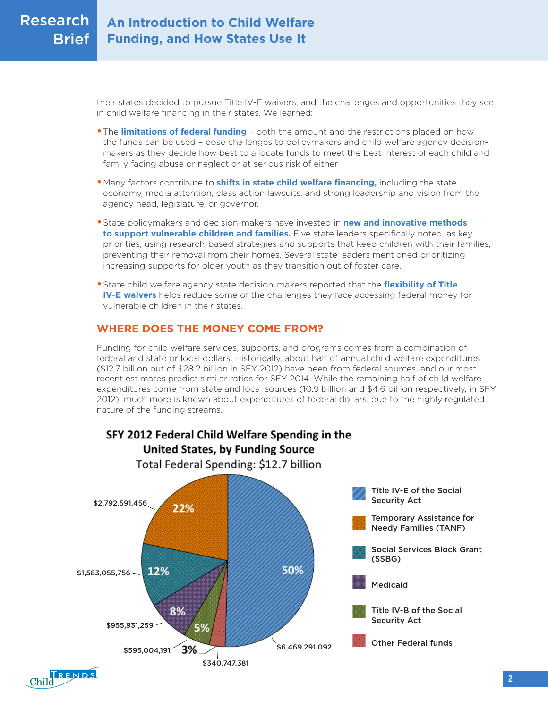their states decided to pursue Title IV-E waivers, and the challenges and opportunities they see in child welfare financing in their states. We learned:

- **•**The **limitations of federal funding** both the amount and the restrictions placed on how the funds can be used – pose challenges to policymakers and child welfare agency decisionmakers as they decide how best to allocate funds to meet the best interest of each child and family facing abuse or neglect or at serious risk of either.
- **•**Many factors contribute to **shifts in state child welfare financing,** including the state economy, media attention, class action lawsuits, and strong leadership and vision from the agency head, legislature, or governor.
- **•**State policymakers and decision-makers have invested in **new and innovative methods to support vulnerable children and families.** Five state leaders specifically noted, as key priorities, using research-based strategies and supports that keep children with their families, preventing their removal from their homes. Several state leaders mentioned prioritizing increasing supports for older youth as they transition out of foster care.
- **•**State child welfare agency state decision-makers reported that the **flexibility of Title IV-E waivers** helps reduce some of the challenges they face accessing federal money for vulnerable children in their states.

## **WHERE DOES THE MONEY COME FROM?**

Funding for child welfare services, supports, and programs comes from a combination of federal and state or local dollars. Historically, about half of annual child welfare expenditures (\$12.7 billion out of \$28.2 billion in SFY 2012) have been from federal sources, and our most recent estimates predict similar ratios for SFY 2014. While the remaining half of child welfare expenditures come from state and local sources (10.9 billion and \$4.6 billion respectively, in SFY 2012), much more is known about expenditures of federal dollars, due to the highly regulated nature of the funding streams.





SFY 2012 Federal Child Welfare Spending in the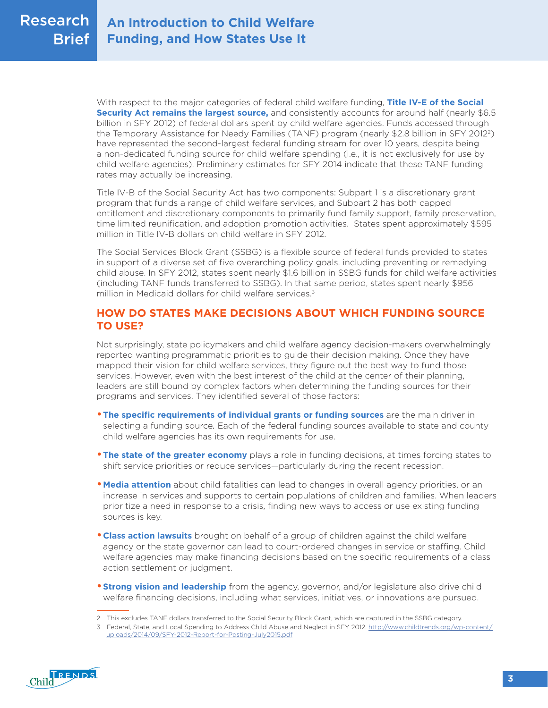With respect to the major categories of federal child welfare funding, **Title IV-E of the Social Security Act remains the largest source,** and consistently accounts for around half (nearly \$6.5 billion in SFY 2012) of federal dollars spent by child welfare agencies. Funds accessed through the Temporary Assistance for Needy Families (TANF) program (nearly \$2.8 billion in SFY 20122) have represented the second-largest federal funding stream for over 10 years, despite being a non-dedicated funding source for child welfare spending (i.e., it is not exclusively for use by child welfare agencies). Preliminary estimates for SFY 2014 indicate that these TANF funding rates may actually be increasing.

Title IV-B of the Social Security Act has two components: Subpart 1 is a discretionary grant program that funds a range of child welfare services, and Subpart 2 has both capped entitlement and discretionary components to primarily fund family support, family preservation, time limited reunification, and adoption promotion activities. States spent approximately \$595 million in Title IV-B dollars on child welfare in SFY 2012.

The Social Services Block Grant (SSBG) is a flexible source of federal funds provided to states in support of a diverse set of five overarching policy goals, including preventing or remedying child abuse. In SFY 2012, states spent nearly \$1.6 billion in SSBG funds for child welfare activities (including TANF funds transferred to SSBG). In that same period, states spent nearly \$956 million in Medicaid dollars for child welfare services.3

## **HOW DO STATES MAKE DECISIONS ABOUT WHICH FUNDING SOURCE TO USE?**

Not surprisingly, state policymakers and child welfare agency decision-makers overwhelmingly reported wanting programmatic priorities to guide their decision making. Once they have mapped their vision for child welfare services, they figure out the best way to fund those services. However, even with the best interest of the child at the center of their planning, leaders are still bound by complex factors when determining the funding sources for their programs and services. They identified several of those factors:

- **The specific requirements of individual grants or funding sources** are the main driver in selecting a funding source*.* Each of the federal funding sources available to state and county child welfare agencies has its own requirements for use.
- **The state of the greater economy** plays a role in funding decisions, at times forcing states to shift service priorities or reduce services—particularly during the recent recession.
- **Media attention** about child fatalities can lead to changes in overall agency priorities, or an increase in services and supports to certain populations of children and families. When leaders prioritize a need in response to a crisis, finding new ways to access or use existing funding sources is key.
- **•Class action lawsuits** brought on behalf of a group of children against the child welfare agency or the state governor can lead to court-ordered changes in service or staffing. Child welfare agencies may make financing decisions based on the specific requirements of a class action settlement or judgment.
- **Strong vision and leadership** from the agency, governor, and/or legislature also drive child welfare financing decisions, including what services, initiatives, or innovations are pursued.

<sup>3</sup> Federal, State, and Local Spending to Address Child Abuse and Neglect in SFY 2012. [http://www.childtrends.org/wp-content/](http://www.childtrends.org/wp-content/uploads/2014/09/SFY-2012-Report-for-Posting-July2015.pdf) [uploads/2014/09/SFY-2012-Report-for-Posting-July2015.pdf](http://www.childtrends.org/wp-content/uploads/2014/09/SFY-2012-Report-for-Posting-July2015.pdf)



<sup>2</sup> This excludes TANF dollars transferred to the Social Security Block Grant, which are captured in the SSBG category.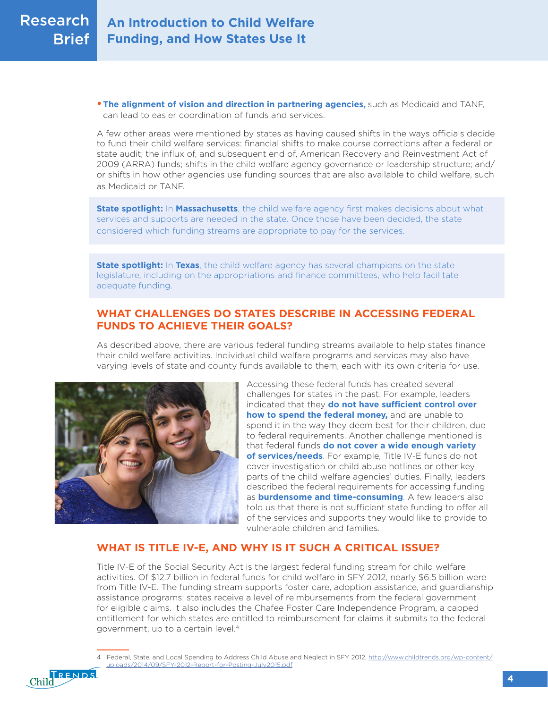**• The alignment of vision and direction in partnering agencies,** such as Medicaid and TANF, can lead to easier coordination of funds and services.

A few other areas were mentioned by states as having caused shifts in the ways officials decide to fund their child welfare services: financial shifts to make course corrections after a federal or state audit; the influx of, and subsequent end of, American Recovery and Reinvestment Act of 2009 (ARRA) funds; shifts in the child welfare agency governance or leadership structure; and/ or shifts in how other agencies use funding sources that are also available to child welfare, such as Medicaid or TANF.

**State spotlight:** In **Massachusetts**, the child welfare agency first makes decisions about what services and supports are needed in the state. Once those have been decided, the state considered which funding streams are appropriate to pay for the services.

**State spotlight:** In **Texas**, the child welfare agency has several champions on the state legislature, including on the appropriations and finance committees, who help facilitate adequate funding.

## **WHAT CHALLENGES DO STATES DESCRIBE IN ACCESSING FEDERAL FUNDS TO ACHIEVE THEIR GOALS?**

As described above, there are various federal funding streams available to help states finance their child welfare activities. Individual child welfare programs and services may also have varying levels of state and county funds available to them, each with its own criteria for use.



Accessing these federal funds has created several challenges for states in the past. For example, leaders indicated that they **do not have sufficient control over how to spend the federal money,** and are unable to spend it in the way they deem best for their children, due to federal requirements. Another challenge mentioned is that federal funds **do not cover a wide enough variety of services/needs**. For example, Title IV-E funds do not cover investigation or child abuse hotlines or other key parts of the child welfare agencies' duties. Finally, leaders described the federal requirements for accessing funding as **burdensome and time-consuming**. A few leaders also told us that there is not sufficient state funding to offer all of the services and supports they would like to provide to vulnerable children and families.

## **WHAT IS TITLE IV-E, AND WHY IS IT SUCH A CRITICAL ISSUE?**

Title IV-E of the Social Security Act is the largest federal funding stream for child welfare activities. Of \$12.7 billion in federal funds for child welfare in SFY 2012, nearly \$6.5 billion were from Title IV-E. The funding stream supports foster care, adoption assistance, and guardianship assistance programs; states receive a level of reimbursements from the federal government for eligible claims. It also includes the Chafee Foster Care Independence Program, a capped entitlement for which states are entitled to reimbursement for claims it submits to the federal government, up to a certain level.4

Child RENDS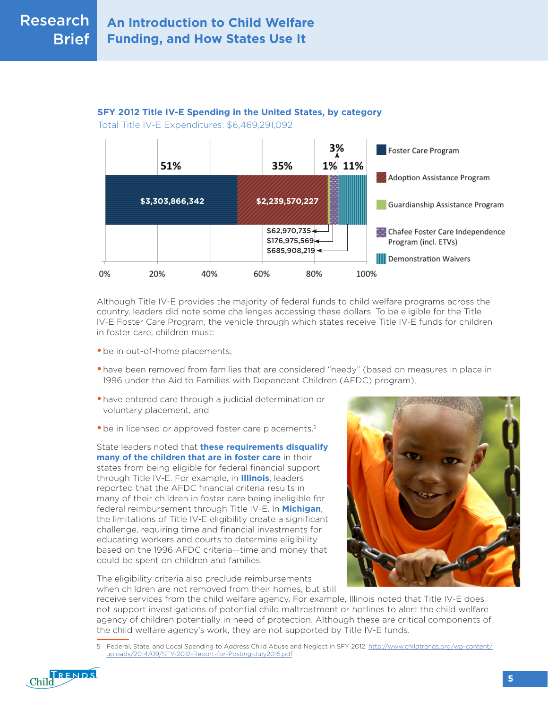## **SFY 2012 Title IV-E Spending in the United States, by category**

Total Title IV-E Expenditures: \$6,469,291,092



Although Title IV-E provides the majority of federal funds to child welfare programs across the country, leaders did note some challenges accessing these dollars. To be eligible for the Title IV-E Foster Care Program, the vehicle through which states receive Title IV-E funds for children in foster care, children must:

- **•**be in out-of-home placements,
- **•** have been removed from families that are considered "needy" (based on measures in place in 1996 under the Aid to Families with Dependent Children (AFDC) program),
- **•**have entered care through a judicial determination or voluntary placement, and
- be in licensed or approved foster care placements.<sup>5</sup>

State leaders noted that **these requirements disqualify many of the children that are in foster care** in their states from being eligible for federal financial support through Title IV-E. For example, in **Illinois**, leaders reported that the AFDC financial criteria results in many of their children in foster care being ineligible for federal reimbursement through Title IV-E. In **Michigan**, the limitations of Title IV-E eligibility create a significant challenge, requiring time and financial investments for educating workers and courts to determine eligibility based on the 1996 AFDC criteria—time and money that could be spent on children and families.

The eligibility criteria also preclude reimbursements when children are not removed from their homes, but still

receive services from the child welfare agency. For example, Illinois noted that Title IV-E does not support investigations of potential child maltreatment or hotlines to alert the child welfare agency of children potentially in need of protection. Although these are critical components of the child welfare agency's work, they are not supported by Title IV-E funds.

<sup>5</sup> Federal, State, and Local Spending to Address Child Abuse and Neglect in SFY 2012. [http://www.childtrends.org/wp-content/](http://www.childtrends.org/wp-content/uploads/2014/09/SFY-2012-Report-for-Posting-July2015.pdf) [uploads/2014/09/SFY-2012-Report-for-Posting-July2015.pdf](http://www.childtrends.org/wp-content/uploads/2014/09/SFY-2012-Report-for-Posting-July2015.pdf)

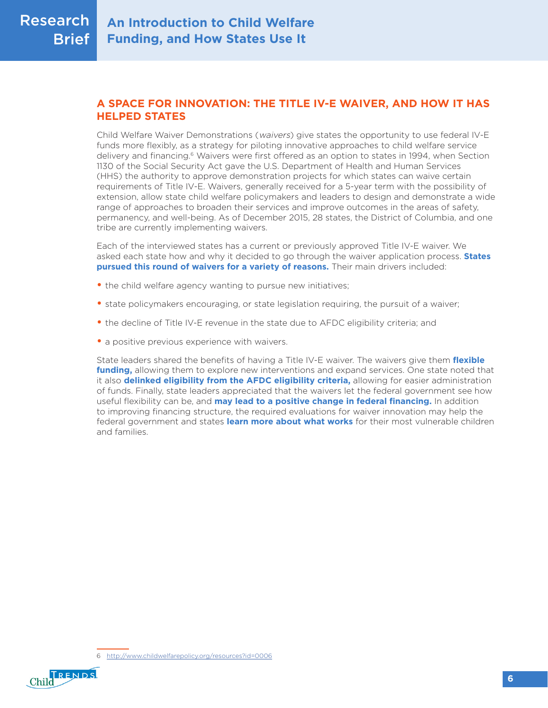## **A SPACE FOR INNOVATION: THE TITLE IV-E WAIVER, AND HOW IT HAS HELPED STATES**

Child Welfare Waiver Demonstrations (waivers) give states the opportunity to use federal IV-E funds more flexibly, as a strategy for piloting innovative approaches to child welfare service delivery and financing.<sup>6</sup> Waivers were first offered as an option to states in 1994, when Section 1130 of the Social Security Act gave the U.S. Department of Health and Human Services (HHS) the authority to approve demonstration projects for which states can waive certain requirements of Title IV-E. Waivers, generally received for a 5-year term with the possibility of extension, allow state child welfare policymakers and leaders to design and demonstrate a wide range of approaches to broaden their services and improve outcomes in the areas of safety, permanency, and well-being. As of December 2015, 28 states, the District of Columbia, and one tribe are currently implementing waivers.

Each of the interviewed states has a current or previously approved Title IV-E waiver. We asked each state how and why it decided to go through the waiver application process. **States pursued this round of waivers for a variety of reasons.** Their main drivers included:

- the child welfare agency wanting to pursue new initiatives;
- state policymakers encouraging, or state legislation requiring, the pursuit of a waiver;
- the decline of Title IV-E revenue in the state due to AFDC eligibility criteria; and
- a positive previous experience with waivers.

State leaders shared the benefits of having a Title IV-E waiver. The waivers give them **flexible funding,** allowing them to explore new interventions and expand services. One state noted that it also **delinked eligibility from the AFDC eligibility criteria,** allowing for easier administration of funds. Finally, state leaders appreciated that the waivers let the federal government see how useful flexibility can be, and **may lead to a positive change in federal financing.** In addition to improving financing structure, the required evaluations for waiver innovation may help the federal government and states **learn more about what works** for their most vulnerable children and families.

<sup>6</sup> <http://www.childwelfarepolicy.org/resources?id=0006>

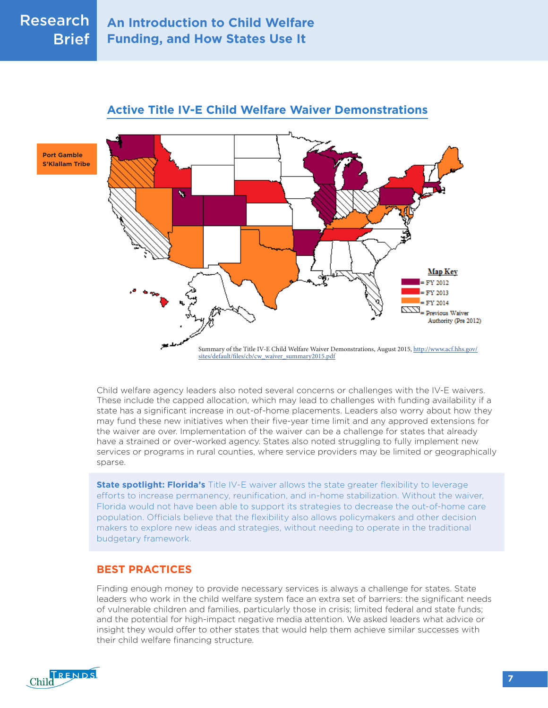

## **Active Title IV-E Child Welfare Waiver Demonstrations**

Child welfare agency leaders also noted several concerns or challenges with the IV-E waivers. These include the capped allocation, which may lead to challenges with funding availability if a state has a significant increase in out-of-home placements. Leaders also worry about how they may fund these new initiatives when their five-year time limit and any approved extensions for the waiver are over. Implementation of the waiver can be a challenge for states that already have a strained or over-worked agency. States also noted struggling to fully implement new services or programs in rural counties, where service providers may be limited or geographically sparse.

**State spotlight: Florida's** Title IV-E waiver allows the state greater flexibility to leverage efforts to increase permanency, reunification, and in-home stabilization. Without the waiver, Florida would not have been able to support its strategies to decrease the out-of-home care population. Officials believe that the flexibility also allows policymakers and other decision makers to explore new ideas and strategies, without needing to operate in the traditional budgetary framework.

## **BEST PRACTICES**

Finding enough money to provide necessary services is always a challenge for states. State leaders who work in the child welfare system face an extra set of barriers: the significant needs of vulnerable children and families, particularly those in crisis; limited federal and state funds; and the potential for high-impact negative media attention. We asked leaders what advice or insight they would offer to other states that would help them achieve similar successes with their child welfare financing structure.



**Port Gamble S'Klallam Tribe**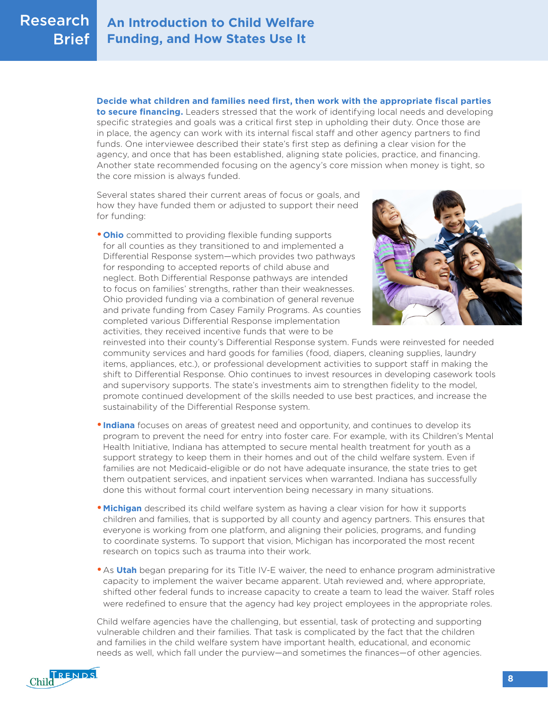

**Decide what children and families need first, then work with the appropriate fiscal parties to secure financing.** Leaders stressed that the work of identifying local needs and developing specific strategies and goals was a critical first step in upholding their duty. Once those are in place, the agency can work with its internal fiscal staff and other agency partners to find funds. One interviewee described their state's first step as defining a clear vision for the agency, and once that has been established, aligning state policies, practice, and financing. Another state recommended focusing on the agency's core mission when money is tight, so the core mission is always funded.

Several states shared their current areas of focus or goals, and how they have funded them or adjusted to support their need for funding:

**•Ohio** committed to providing flexible funding supports for all counties as they transitioned to and implemented a Differential Response system—which provides two pathways for responding to accepted reports of child abuse and neglect. Both Differential Response pathways are intended to focus on families' strengths, rather than their weaknesses. Ohio provided funding via a combination of general revenue and private funding from Casey Family Programs. As counties completed various Differential Response implementation activities, they received incentive funds that were to be



reinvested into their county's Differential Response system. Funds were reinvested for needed community services and hard goods for families (food, diapers, cleaning supplies, laundry items, appliances, etc.), or professional development activities to support staff in making the shift to Differential Response. Ohio continues to invest resources in developing casework tools and supervisory supports. The state's investments aim to strengthen fidelity to the model, promote continued development of the skills needed to use best practices, and increase the sustainability of the Differential Response system.

- **•Indiana** focuses on areas of greatest need and opportunity, and continues to develop its program to prevent the need for entry into foster care. For example, with its Children's Mental Health Initiative, Indiana has attempted to secure mental health treatment for youth as a support strategy to keep them in their homes and out of the child welfare system. Even if families are not Medicaid-eligible or do not have adequate insurance, the state tries to get them outpatient services, and inpatient services when warranted. Indiana has successfully done this without formal court intervention being necessary in many situations.
- **Michigan** described its child welfare system as having a clear vision for how it supports children and families, that is supported by all county and agency partners. This ensures that everyone is working from one platform, and aligning their policies, programs, and funding to coordinate systems. To support that vision, Michigan has incorporated the most recent research on topics such as trauma into their work.
- **•**As **Utah** began preparing for its Title IV-E waiver, the need to enhance program administrative capacity to implement the waiver became apparent. Utah reviewed and, where appropriate, shifted other federal funds to increase capacity to create a team to lead the waiver. Staff roles were redefined to ensure that the agency had key project employees in the appropriate roles.

Child welfare agencies have the challenging, but essential, task of protecting and supporting vulnerable children and their families. That task is complicated by the fact that the children and families in the child welfare system have important health, educational, and economic needs as well, which fall under the purview—and sometimes the finances—of other agencies.

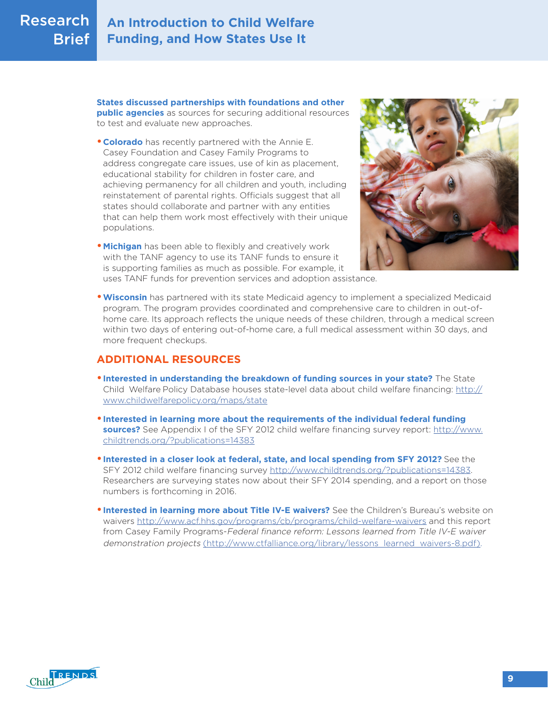#### **An Introduction to Child Welfare Funding, and How States Use It** Research **Brief**

**States discussed partnerships with foundations and other public agencies** as sources for securing additional resources to test and evaluate new approaches.

- **•Colorado** has recently partnered with the Annie E. Casey Foundation and Casey Family Programs to address congregate care issues, use of kin as placement, educational stability for children in foster care, and achieving permanency for all children and youth, including reinstatement of parental rights. Officials suggest that all states should collaborate and partner with any entities that can help them work most effectively with their unique populations.
- **•Michigan** has been able to flexibly and creatively work with the TANF agency to use its TANF funds to ensure it is supporting families as much as possible. For example, it uses TANF funds for prevention services and adoption assistance.



**•Wisconsin** has partnered with its state Medicaid agency to implement a specialized Medicaid program. The program provides coordinated and comprehensive care to children in out-ofhome care. Its approach reflects the unique needs of these children, through a medical screen within two days of entering out-of-home care, a full medical assessment within 30 days, and more frequent checkups.

## **ADDITIONAL RESOURCES**

- **•Interested in understanding the breakdown of funding sources in your state?** The State Child Welfare Policy Database houses state-level data about child welfare financing: [http://](http://www.childwelfarepolicy.org/maps/state) [www.childwelfarepolicy.org/maps/state](http://www.childwelfarepolicy.org/maps/state)
- **•Interested in learning more about the requirements of the individual federal funding sources?** See Appendix I of the SFY 2012 child welfare financing survey report: [http://www.](http://www.childtrends.org/?publications=14383) [childtrends.org/?publications=14383](http://www.childtrends.org/?publications=14383)
- **•Interested in a closer look at federal, state, and local spending from SFY 2012?** See the SFY 2012 child welfare financing survey <http://www.childtrends.org/?publications=14383>. Researchers are surveying states now about their SFY 2014 spending, and a report on those numbers is forthcoming in 2016.
- **Interested in learning more about Title IV-E waivers?** See the Children's Bureau's website on waivers<http://www.acf.hhs.gov/programs/cb/programs/child-welfare-waivers>and this report from Casey Family Programs-Federal finance reform: Lessons learned from Title IV-E waiver demonstration projects (http://www.ctfalliance.org/library/lessons learned waivers-8.pdf).